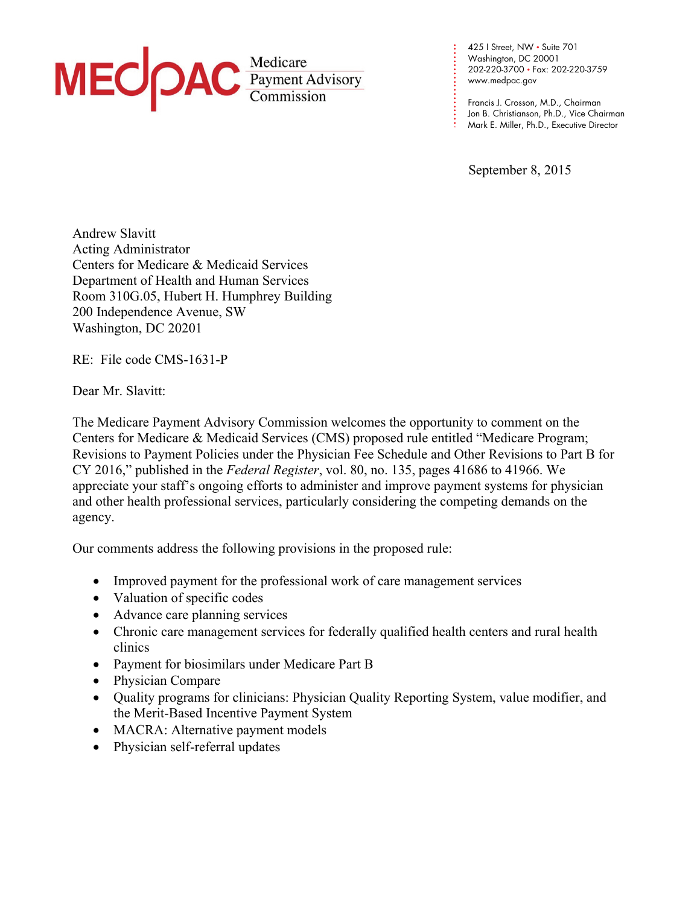

**. . .**  202-220-3700 • Fax: 202-220-3759 **. . . .**  www.medpac.gov 425 I Street, NW • Suite 701 Washington, DC 20001

**. . . . .** 

**.** 

**. . . .**

**. . . .**  Francis J. Crosson, M.D., Chairman Jon B. Christianson, Ph.D., Vice Chairman Mark E. Miller, Ph.D., Executive Director

September 8, 2015

Andrew Slavitt Acting Administrator Centers for Medicare & Medicaid Services Department of Health and Human Services Room 310G.05, Hubert H. Humphrey Building 200 Independence Avenue, SW Washington, DC 20201

RE:File code CMS-1631-P

Dear Mr. Slavitt:

The Medicare Payment Advisory Commission welcomes the opportunity to comment on the Centers for Medicare & Medicaid Services (CMS) proposed rule entitled "Medicare Program; Revisions to Payment Policies under the Physician Fee Schedule and Other Revisions to Part B for CY 2016," published in the *Federal Register*, vol. 80, no. 135, pages 41686 to 41966. We appreciate your staff's ongoing efforts to administer and improve payment systems for physician and other health professional services, particularly considering the competing demands on the agency.

Our comments address the following provisions in the proposed rule:

- Improved payment for the professional work of care management services
- Valuation of specific codes
- Advance care planning services
- Chronic care management services for federally qualified health centers and rural health clinics
- Payment for biosimilars under Medicare Part B
- Physician Compare
- Quality programs for clinicians: Physician Quality Reporting System, value modifier, and the Merit-Based Incentive Payment System
- MACRA: Alternative payment models
- Physician self-referral updates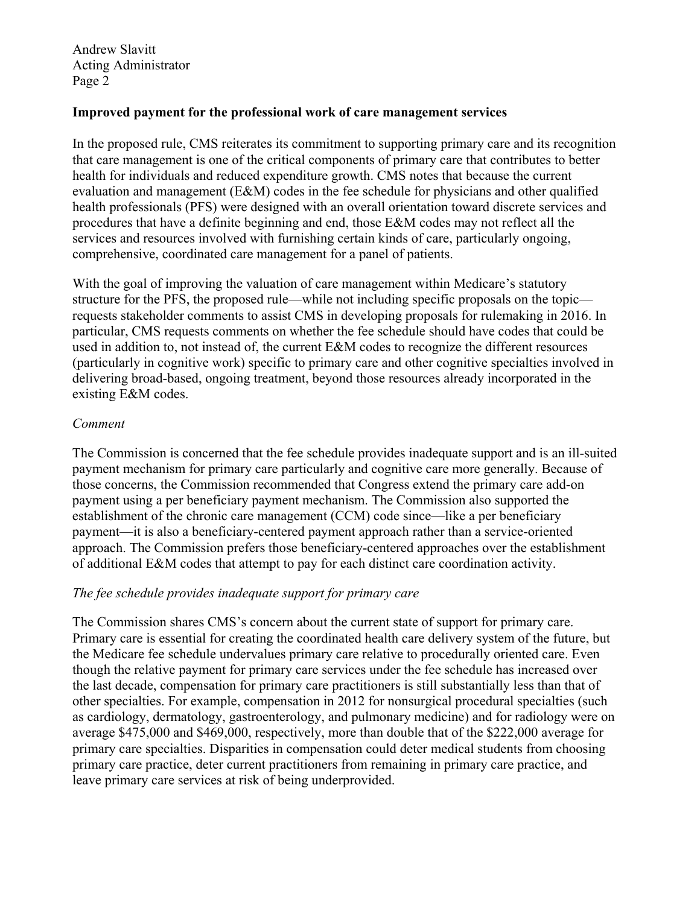#### **Improved payment for the professional work of care management services**

In the proposed rule, CMS reiterates its commitment to supporting primary care and its recognition that care management is one of the critical components of primary care that contributes to better health for individuals and reduced expenditure growth. CMS notes that because the current evaluation and management (E&M) codes in the fee schedule for physicians and other qualified health professionals (PFS) were designed with an overall orientation toward discrete services and procedures that have a definite beginning and end, those E&M codes may not reflect all the services and resources involved with furnishing certain kinds of care, particularly ongoing, comprehensive, coordinated care management for a panel of patients.

With the goal of improving the valuation of care management within Medicare's statutory structure for the PFS, the proposed rule—while not including specific proposals on the topic requests stakeholder comments to assist CMS in developing proposals for rulemaking in 2016. In particular, CMS requests comments on whether the fee schedule should have codes that could be used in addition to, not instead of, the current E&M codes to recognize the different resources (particularly in cognitive work) specific to primary care and other cognitive specialties involved in delivering broad-based, ongoing treatment, beyond those resources already incorporated in the existing E&M codes.

#### *Comment*

The Commission is concerned that the fee schedule provides inadequate support and is an ill-suited payment mechanism for primary care particularly and cognitive care more generally. Because of those concerns, the Commission recommended that Congress extend the primary care add-on payment using a per beneficiary payment mechanism. The Commission also supported the establishment of the chronic care management (CCM) code since—like a per beneficiary payment—it is also a beneficiary-centered payment approach rather than a service-oriented approach. The Commission prefers those beneficiary-centered approaches over the establishment of additional E&M codes that attempt to pay for each distinct care coordination activity.

# *The fee schedule provides inadequate support for primary care*

The Commission shares CMS's concern about the current state of support for primary care. Primary care is essential for creating the coordinated health care delivery system of the future, but the Medicare fee schedule undervalues primary care relative to procedurally oriented care. Even though the relative payment for primary care services under the fee schedule has increased over the last decade, compensation for primary care practitioners is still substantially less than that of other specialties. For example, compensation in 2012 for nonsurgical procedural specialties (such as cardiology, dermatology, gastroenterology, and pulmonary medicine) and for radiology were on average \$475,000 and \$469,000, respectively, more than double that of the \$222,000 average for primary care specialties. Disparities in compensation could deter medical students from choosing primary care practice, deter current practitioners from remaining in primary care practice, and leave primary care services at risk of being underprovided.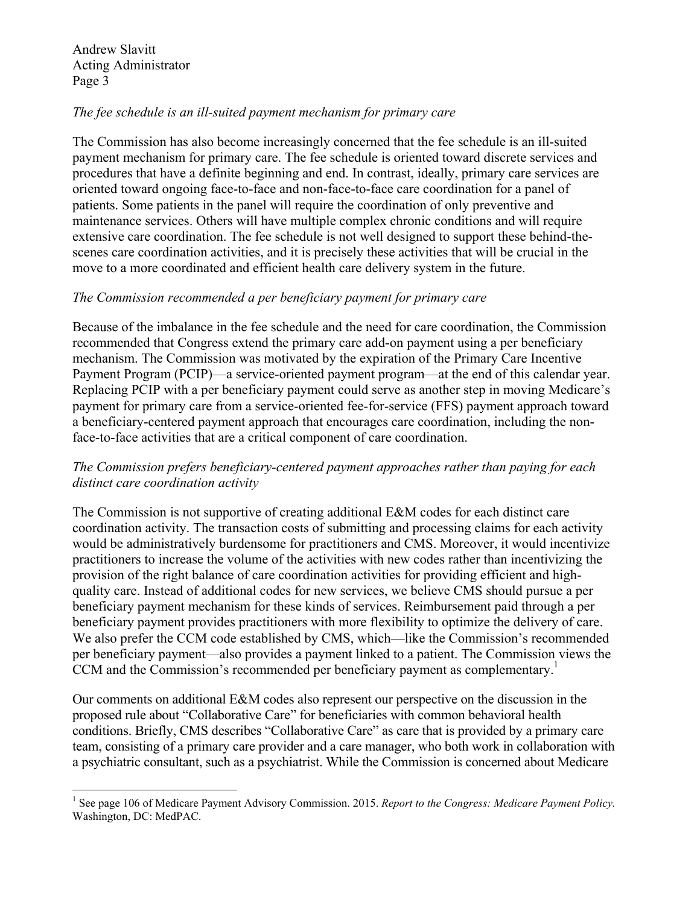1

#### *The fee schedule is an ill-suited payment mechanism for primary care*

The Commission has also become increasingly concerned that the fee schedule is an ill-suited payment mechanism for primary care. The fee schedule is oriented toward discrete services and procedures that have a definite beginning and end. In contrast, ideally, primary care services are oriented toward ongoing face-to-face and non-face-to-face care coordination for a panel of patients. Some patients in the panel will require the coordination of only preventive and maintenance services. Others will have multiple complex chronic conditions and will require extensive care coordination. The fee schedule is not well designed to support these behind-thescenes care coordination activities, and it is precisely these activities that will be crucial in the move to a more coordinated and efficient health care delivery system in the future.

#### *The Commission recommended a per beneficiary payment for primary care*

Because of the imbalance in the fee schedule and the need for care coordination, the Commission recommended that Congress extend the primary care add-on payment using a per beneficiary mechanism. The Commission was motivated by the expiration of the Primary Care Incentive Payment Program (PCIP)—a service-oriented payment program—at the end of this calendar year. Replacing PCIP with a per beneficiary payment could serve as another step in moving Medicare's payment for primary care from a service-oriented fee-for-service (FFS) payment approach toward a beneficiary-centered payment approach that encourages care coordination, including the nonface-to-face activities that are a critical component of care coordination.

# *The Commission prefers beneficiary-centered payment approaches rather than paying for each distinct care coordination activity*

The Commission is not supportive of creating additional E&M codes for each distinct care coordination activity. The transaction costs of submitting and processing claims for each activity would be administratively burdensome for practitioners and CMS. Moreover, it would incentivize practitioners to increase the volume of the activities with new codes rather than incentivizing the provision of the right balance of care coordination activities for providing efficient and highquality care. Instead of additional codes for new services, we believe CMS should pursue a per beneficiary payment mechanism for these kinds of services. Reimbursement paid through a per beneficiary payment provides practitioners with more flexibility to optimize the delivery of care. We also prefer the CCM code established by CMS, which—like the Commission's recommended per beneficiary payment—also provides a payment linked to a patient. The Commission views the CCM and the Commission's recommended per beneficiary payment as complementary.<sup>1</sup>

Our comments on additional E&M codes also represent our perspective on the discussion in the proposed rule about "Collaborative Care" for beneficiaries with common behavioral health conditions. Briefly, CMS describes "Collaborative Care" as care that is provided by a primary care team, consisting of a primary care provider and a care manager, who both work in collaboration with a psychiatric consultant, such as a psychiatrist. While the Commission is concerned about Medicare

<sup>&</sup>lt;sup>1</sup> See page 106 of Medicare Payment Advisory Commission. 2015. *Report to the Congress: Medicare Payment Policy*. Washington, DC: MedPAC.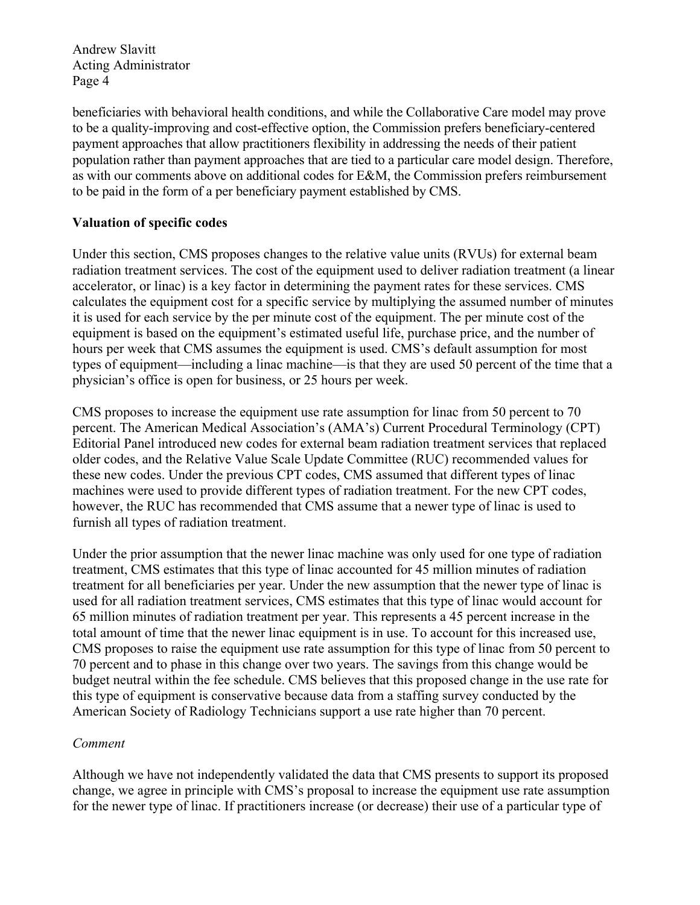beneficiaries with behavioral health conditions, and while the Collaborative Care model may prove to be a quality-improving and cost-effective option, the Commission prefers beneficiary-centered payment approaches that allow practitioners flexibility in addressing the needs of their patient population rather than payment approaches that are tied to a particular care model design. Therefore, as with our comments above on additional codes for E&M, the Commission prefers reimbursement to be paid in the form of a per beneficiary payment established by CMS.

# **Valuation of specific codes**

Under this section, CMS proposes changes to the relative value units (RVUs) for external beam radiation treatment services. The cost of the equipment used to deliver radiation treatment (a linear accelerator, or linac) is a key factor in determining the payment rates for these services. CMS calculates the equipment cost for a specific service by multiplying the assumed number of minutes it is used for each service by the per minute cost of the equipment. The per minute cost of the equipment is based on the equipment's estimated useful life, purchase price, and the number of hours per week that CMS assumes the equipment is used. CMS's default assumption for most types of equipment—including a linac machine—is that they are used 50 percent of the time that a physician's office is open for business, or 25 hours per week.

CMS proposes to increase the equipment use rate assumption for linac from 50 percent to 70 percent. The American Medical Association's (AMA's) Current Procedural Terminology (CPT) Editorial Panel introduced new codes for external beam radiation treatment services that replaced older codes, and the Relative Value Scale Update Committee (RUC) recommended values for these new codes. Under the previous CPT codes, CMS assumed that different types of linac machines were used to provide different types of radiation treatment. For the new CPT codes, however, the RUC has recommended that CMS assume that a newer type of linac is used to furnish all types of radiation treatment.

Under the prior assumption that the newer linac machine was only used for one type of radiation treatment, CMS estimates that this type of linac accounted for 45 million minutes of radiation treatment for all beneficiaries per year. Under the new assumption that the newer type of linac is used for all radiation treatment services, CMS estimates that this type of linac would account for 65 million minutes of radiation treatment per year. This represents a 45 percent increase in the total amount of time that the newer linac equipment is in use. To account for this increased use, CMS proposes to raise the equipment use rate assumption for this type of linac from 50 percent to 70 percent and to phase in this change over two years. The savings from this change would be budget neutral within the fee schedule. CMS believes that this proposed change in the use rate for this type of equipment is conservative because data from a staffing survey conducted by the American Society of Radiology Technicians support a use rate higher than 70 percent.

# *Comment*

Although we have not independently validated the data that CMS presents to support its proposed change, we agree in principle with CMS's proposal to increase the equipment use rate assumption for the newer type of linac. If practitioners increase (or decrease) their use of a particular type of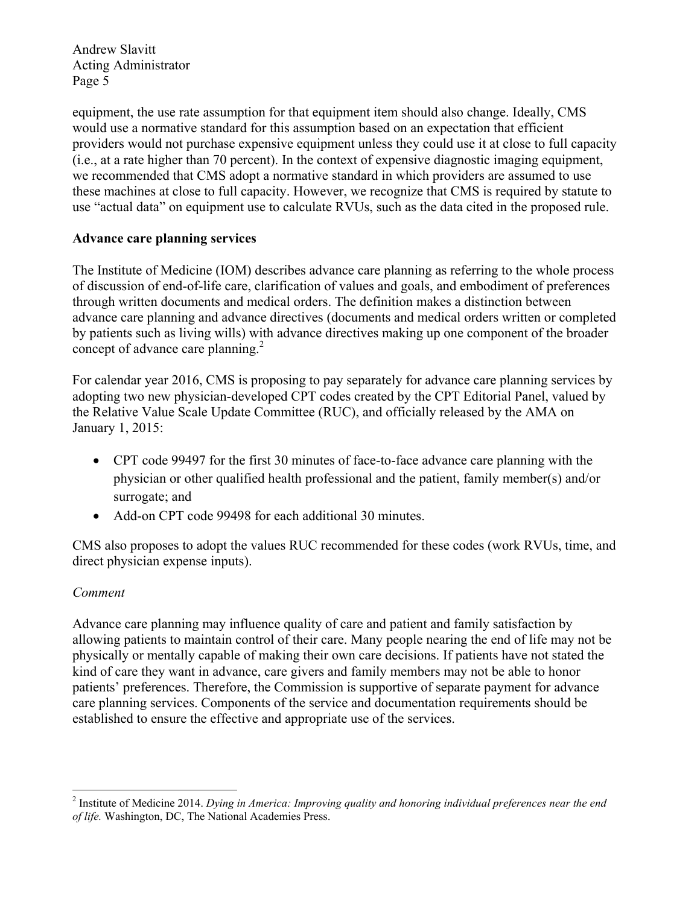equipment, the use rate assumption for that equipment item should also change. Ideally, CMS would use a normative standard for this assumption based on an expectation that efficient providers would not purchase expensive equipment unless they could use it at close to full capacity (i.e., at a rate higher than 70 percent). In the context of expensive diagnostic imaging equipment, we recommended that CMS adopt a normative standard in which providers are assumed to use these machines at close to full capacity. However, we recognize that CMS is required by statute to use "actual data" on equipment use to calculate RVUs, such as the data cited in the proposed rule.

# **Advance care planning services**

The Institute of Medicine (IOM) describes advance care planning as referring to the whole process of discussion of end-of-life care, clarification of values and goals, and embodiment of preferences through written documents and medical orders. The definition makes a distinction between advance care planning and advance directives (documents and medical orders written or completed by patients such as living wills) with advance directives making up one component of the broader concept of advance care planning. $^{2}$ 

For calendar year 2016, CMS is proposing to pay separately for advance care planning services by adopting two new physician-developed CPT codes created by the CPT Editorial Panel, valued by the Relative Value Scale Update Committee (RUC), and officially released by the AMA on January 1, 2015:

- CPT code 99497 for the first 30 minutes of face-to-face advance care planning with the physician or other qualified health professional and the patient, family member(s) and/or surrogate; and
- Add-on CPT code 99498 for each additional 30 minutes.

CMS also proposes to adopt the values RUC recommended for these codes (work RVUs, time, and direct physician expense inputs).

# *Comment*

1

Advance care planning may influence quality of care and patient and family satisfaction by allowing patients to maintain control of their care. Many people nearing the end of life may not be physically or mentally capable of making their own care decisions. If patients have not stated the kind of care they want in advance, care givers and family members may not be able to honor patients' preferences. Therefore, the Commission is supportive of separate payment for advance care planning services. Components of the service and documentation requirements should be established to ensure the effective and appropriate use of the services.

<sup>2</sup> Institute of Medicine 2014. *Dying in America: Improving quality and honoring individual preferences near the end of life.* Washington, DC, The National Academies Press.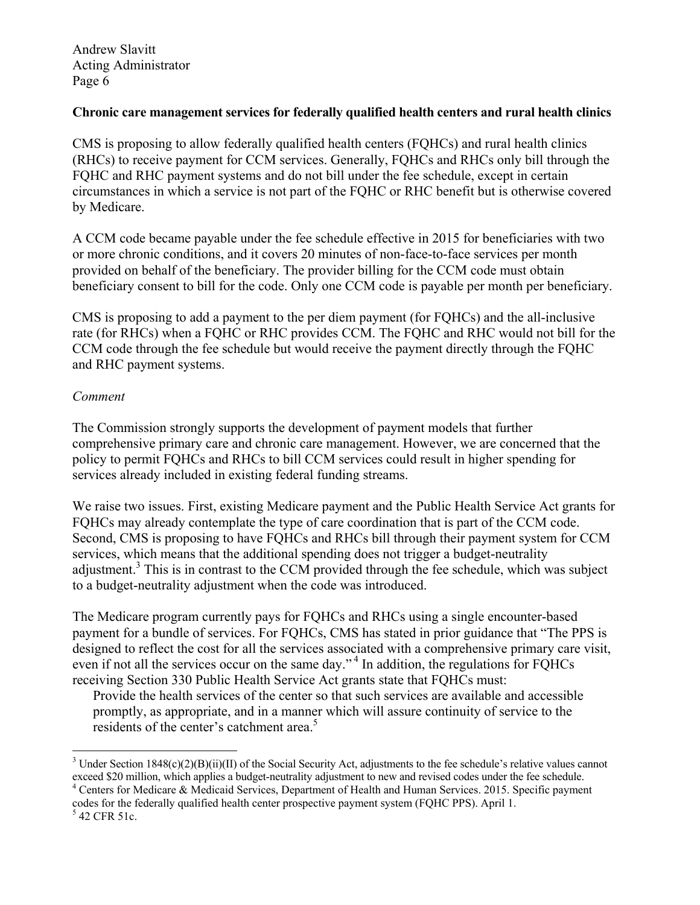#### **Chronic care management services for federally qualified health centers and rural health clinics**

CMS is proposing to allow federally qualified health centers (FQHCs) and rural health clinics (RHCs) to receive payment for CCM services. Generally, FQHCs and RHCs only bill through the FQHC and RHC payment systems and do not bill under the fee schedule, except in certain circumstances in which a service is not part of the FQHC or RHC benefit but is otherwise covered by Medicare.

A CCM code became payable under the fee schedule effective in 2015 for beneficiaries with two or more chronic conditions, and it covers 20 minutes of non-face-to-face services per month provided on behalf of the beneficiary. The provider billing for the CCM code must obtain beneficiary consent to bill for the code. Only one CCM code is payable per month per beneficiary.

CMS is proposing to add a payment to the per diem payment (for FQHCs) and the all-inclusive rate (for RHCs) when a FQHC or RHC provides CCM. The FQHC and RHC would not bill for the CCM code through the fee schedule but would receive the payment directly through the FQHC and RHC payment systems.

# *Comment*

The Commission strongly supports the development of payment models that further comprehensive primary care and chronic care management. However, we are concerned that the policy to permit FQHCs and RHCs to bill CCM services could result in higher spending for services already included in existing federal funding streams.

We raise two issues. First, existing Medicare payment and the Public Health Service Act grants for FQHCs may already contemplate the type of care coordination that is part of the CCM code. Second, CMS is proposing to have FQHCs and RHCs bill through their payment system for CCM services, which means that the additional spending does not trigger a budget-neutrality adjustment.<sup>3</sup> This is in contrast to the CCM provided through the fee schedule, which was subject to a budget-neutrality adjustment when the code was introduced.

The Medicare program currently pays for FQHCs and RHCs using a single encounter-based payment for a bundle of services. For FQHCs, CMS has stated in prior guidance that "The PPS is designed to reflect the cost for all the services associated with a comprehensive primary care visit, even if not all the services occur on the same day."<sup>4</sup> In addition, the regulations for FQHCs receiving Section 330 Public Health Service Act grants state that FQHCs must:

Provide the health services of the center so that such services are available and accessible promptly, as appropriate, and in a manner which will assure continuity of service to the residents of the center's catchment area.<sup>5</sup>

1

<sup>&</sup>lt;sup>3</sup> Under Section 1848(c)(2)(B)(ii)(II) of the Social Security Act, adjustments to the fee schedule's relative values cannot exceed \$20 million, which applies a budget-neutrality adjustment to new and revised codes under the fee schedule. 4

Centers for Medicare & Medicaid Services, Department of Health and Human Services. 2015. Specific payment codes for the federally qualified health center prospective payment system (FQHC PPS). April 1.

 <sup>42</sup> CFR 51c.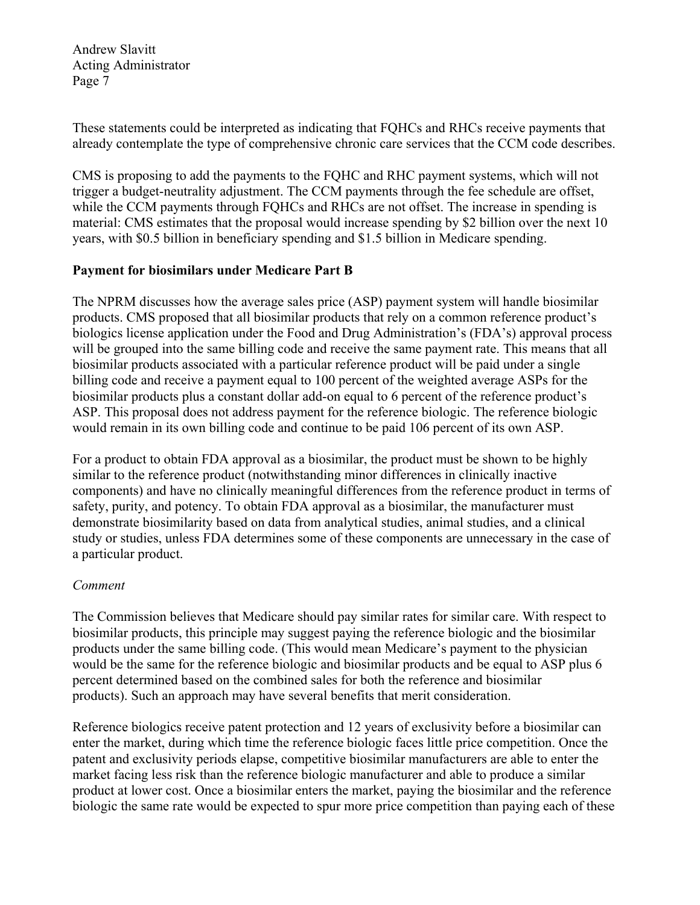These statements could be interpreted as indicating that FQHCs and RHCs receive payments that already contemplate the type of comprehensive chronic care services that the CCM code describes.

CMS is proposing to add the payments to the FQHC and RHC payment systems, which will not trigger a budget-neutrality adjustment. The CCM payments through the fee schedule are offset, while the CCM payments through FQHCs and RHCs are not offset. The increase in spending is material: CMS estimates that the proposal would increase spending by \$2 billion over the next 10 years, with \$0.5 billion in beneficiary spending and \$1.5 billion in Medicare spending.

# **Payment for biosimilars under Medicare Part B**

The NPRM discusses how the average sales price (ASP) payment system will handle biosimilar products. CMS proposed that all biosimilar products that rely on a common reference product's biologics license application under the Food and Drug Administration's (FDA's) approval process will be grouped into the same billing code and receive the same payment rate. This means that all biosimilar products associated with a particular reference product will be paid under a single billing code and receive a payment equal to 100 percent of the weighted average ASPs for the biosimilar products plus a constant dollar add-on equal to 6 percent of the reference product's ASP. This proposal does not address payment for the reference biologic. The reference biologic would remain in its own billing code and continue to be paid 106 percent of its own ASP.

For a product to obtain FDA approval as a biosimilar, the product must be shown to be highly similar to the reference product (notwithstanding minor differences in clinically inactive components) and have no clinically meaningful differences from the reference product in terms of safety, purity, and potency. To obtain FDA approval as a biosimilar, the manufacturer must demonstrate biosimilarity based on data from analytical studies, animal studies, and a clinical study or studies, unless FDA determines some of these components are unnecessary in the case of a particular product.

# *Comment*

The Commission believes that Medicare should pay similar rates for similar care. With respect to biosimilar products, this principle may suggest paying the reference biologic and the biosimilar products under the same billing code. (This would mean Medicare's payment to the physician would be the same for the reference biologic and biosimilar products and be equal to ASP plus 6 percent determined based on the combined sales for both the reference and biosimilar products). Such an approach may have several benefits that merit consideration.

Reference biologics receive patent protection and 12 years of exclusivity before a biosimilar can enter the market, during which time the reference biologic faces little price competition. Once the patent and exclusivity periods elapse, competitive biosimilar manufacturers are able to enter the market facing less risk than the reference biologic manufacturer and able to produce a similar product at lower cost. Once a biosimilar enters the market, paying the biosimilar and the reference biologic the same rate would be expected to spur more price competition than paying each of these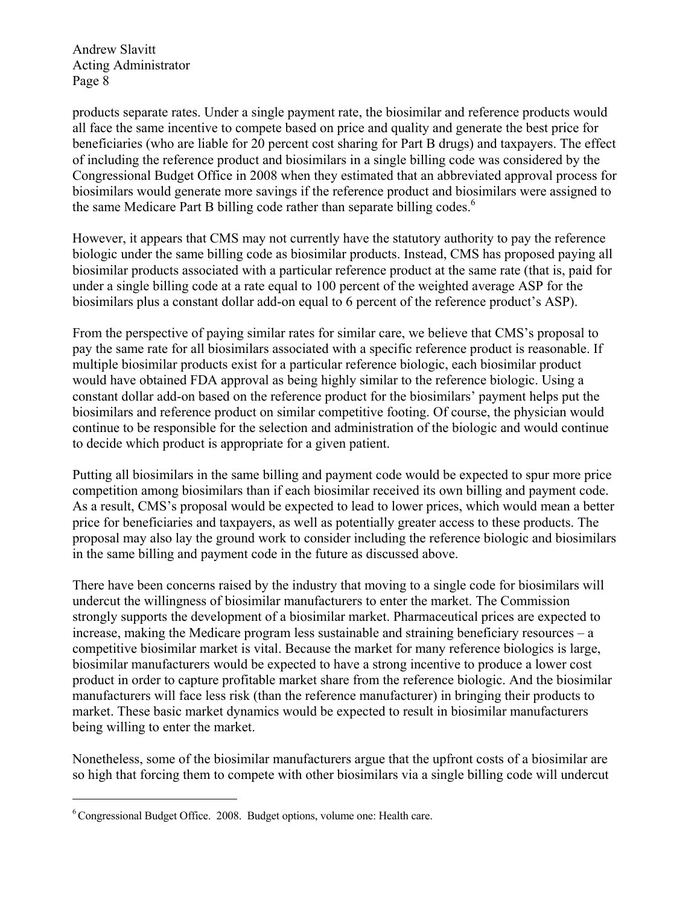products separate rates. Under a single payment rate, the biosimilar and reference products would all face the same incentive to compete based on price and quality and generate the best price for beneficiaries (who are liable for 20 percent cost sharing for Part B drugs) and taxpayers. The effect of including the reference product and biosimilars in a single billing code was considered by the Congressional Budget Office in 2008 when they estimated that an abbreviated approval process for biosimilars would generate more savings if the reference product and biosimilars were assigned to the same Medicare Part B billing code rather than separate billing codes.<sup>6</sup>

However, it appears that CMS may not currently have the statutory authority to pay the reference biologic under the same billing code as biosimilar products. Instead, CMS has proposed paying all biosimilar products associated with a particular reference product at the same rate (that is, paid for under a single billing code at a rate equal to 100 percent of the weighted average ASP for the biosimilars plus a constant dollar add-on equal to 6 percent of the reference product's ASP).

From the perspective of paying similar rates for similar care, we believe that CMS's proposal to pay the same rate for all biosimilars associated with a specific reference product is reasonable. If multiple biosimilar products exist for a particular reference biologic, each biosimilar product would have obtained FDA approval as being highly similar to the reference biologic. Using a constant dollar add-on based on the reference product for the biosimilars' payment helps put the biosimilars and reference product on similar competitive footing. Of course, the physician would continue to be responsible for the selection and administration of the biologic and would continue to decide which product is appropriate for a given patient.

Putting all biosimilars in the same billing and payment code would be expected to spur more price competition among biosimilars than if each biosimilar received its own billing and payment code. As a result, CMS's proposal would be expected to lead to lower prices, which would mean a better price for beneficiaries and taxpayers, as well as potentially greater access to these products. The proposal may also lay the ground work to consider including the reference biologic and biosimilars in the same billing and payment code in the future as discussed above.

There have been concerns raised by the industry that moving to a single code for biosimilars will undercut the willingness of biosimilar manufacturers to enter the market. The Commission strongly supports the development of a biosimilar market. Pharmaceutical prices are expected to increase, making the Medicare program less sustainable and straining beneficiary resources – a competitive biosimilar market is vital. Because the market for many reference biologics is large, biosimilar manufacturers would be expected to have a strong incentive to produce a lower cost product in order to capture profitable market share from the reference biologic. And the biosimilar manufacturers will face less risk (than the reference manufacturer) in bringing their products to market. These basic market dynamics would be expected to result in biosimilar manufacturers being willing to enter the market.

Nonetheless, some of the biosimilar manufacturers argue that the upfront costs of a biosimilar are so high that forcing them to compete with other biosimilars via a single billing code will undercut

<u>.</u>

<sup>6</sup> Congressional Budget Office. 2008. Budget options, volume one: Health care.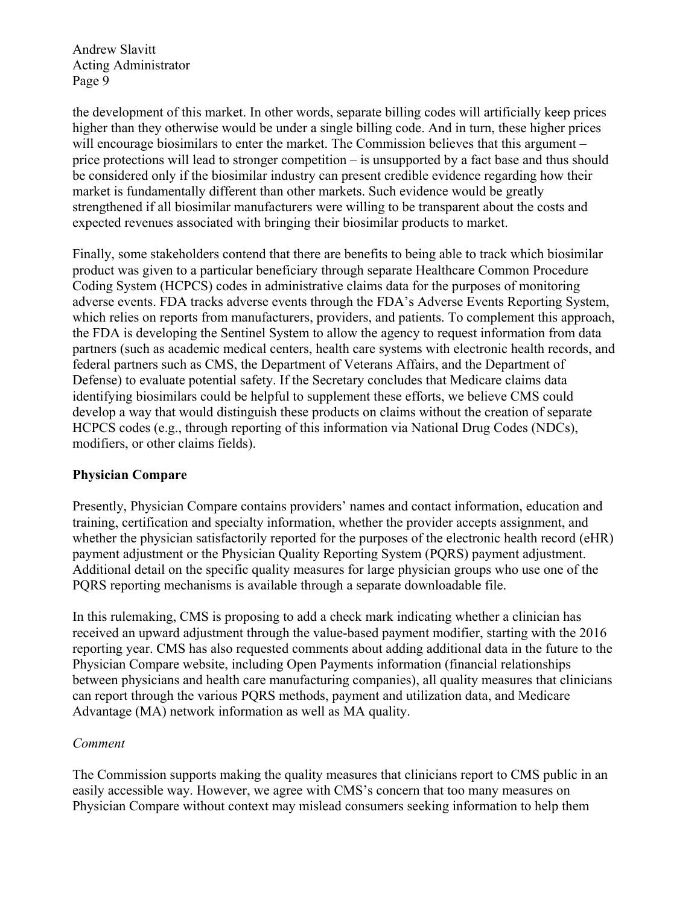the development of this market. In other words, separate billing codes will artificially keep prices higher than they otherwise would be under a single billing code. And in turn, these higher prices will encourage biosimilars to enter the market. The Commission believes that this argument – price protections will lead to stronger competition – is unsupported by a fact base and thus should be considered only if the biosimilar industry can present credible evidence regarding how their market is fundamentally different than other markets. Such evidence would be greatly strengthened if all biosimilar manufacturers were willing to be transparent about the costs and expected revenues associated with bringing their biosimilar products to market.

Finally, some stakeholders contend that there are benefits to being able to track which biosimilar product was given to a particular beneficiary through separate Healthcare Common Procedure Coding System (HCPCS) codes in administrative claims data for the purposes of monitoring adverse events. FDA tracks adverse events through the FDA's Adverse Events Reporting System, which relies on reports from manufacturers, providers, and patients. To complement this approach, the FDA is developing the Sentinel System to allow the agency to request information from data partners (such as academic medical centers, health care systems with electronic health records, and federal partners such as CMS, the Department of Veterans Affairs, and the Department of Defense) to evaluate potential safety. If the Secretary concludes that Medicare claims data identifying biosimilars could be helpful to supplement these efforts, we believe CMS could develop a way that would distinguish these products on claims without the creation of separate HCPCS codes (e.g., through reporting of this information via National Drug Codes (NDCs), modifiers, or other claims fields).

# **Physician Compare**

Presently, Physician Compare contains providers' names and contact information, education and training, certification and specialty information, whether the provider accepts assignment, and whether the physician satisfactorily reported for the purposes of the electronic health record (eHR) payment adjustment or the Physician Quality Reporting System (PQRS) payment adjustment. Additional detail on the specific quality measures for large physician groups who use one of the PQRS reporting mechanisms is available through a separate downloadable file.

In this rulemaking, CMS is proposing to add a check mark indicating whether a clinician has received an upward adjustment through the value-based payment modifier, starting with the 2016 reporting year. CMS has also requested comments about adding additional data in the future to the Physician Compare website, including Open Payments information (financial relationships between physicians and health care manufacturing companies), all quality measures that clinicians can report through the various PQRS methods, payment and utilization data, and Medicare Advantage (MA) network information as well as MA quality.

# *Comment*

The Commission supports making the quality measures that clinicians report to CMS public in an easily accessible way. However, we agree with CMS's concern that too many measures on Physician Compare without context may mislead consumers seeking information to help them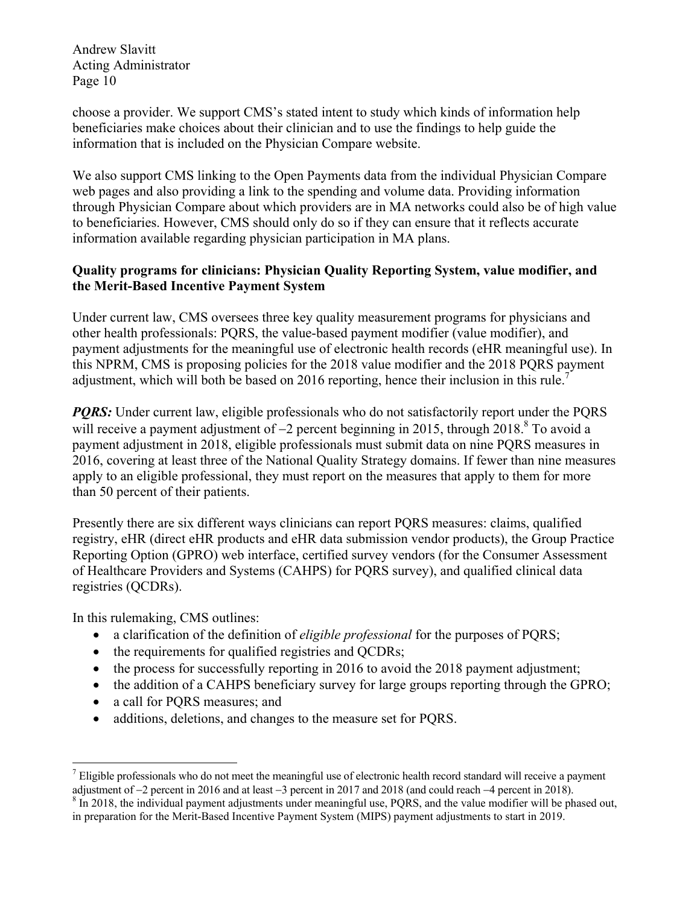choose a provider. We support CMS's stated intent to study which kinds of information help beneficiaries make choices about their clinician and to use the findings to help guide the information that is included on the Physician Compare website.

We also support CMS linking to the Open Payments data from the individual Physician Compare web pages and also providing a link to the spending and volume data. Providing information through Physician Compare about which providers are in MA networks could also be of high value to beneficiaries. However, CMS should only do so if they can ensure that it reflects accurate information available regarding physician participation in MA plans.

# **Quality programs for clinicians: Physician Quality Reporting System, value modifier, and the Merit-Based Incentive Payment System**

Under current law, CMS oversees three key quality measurement programs for physicians and other health professionals: PQRS, the value-based payment modifier (value modifier), and payment adjustments for the meaningful use of electronic health records (eHR meaningful use). In this NPRM, CMS is proposing policies for the 2018 value modifier and the 2018 PQRS payment adjustment, which will both be based on 2016 reporting, hence their inclusion in this rule.<sup>7</sup>

*PORS:* Under current law, eligible professionals who do not satisfactorily report under the PQRS will receive a payment adjustment of  $-2$  percent beginning in 2015, through 2018.<sup>8</sup> To avoid a payment adjustment in 2018, eligible professionals must submit data on nine PQRS measures in 2016, covering at least three of the National Quality Strategy domains. If fewer than nine measures apply to an eligible professional, they must report on the measures that apply to them for more than 50 percent of their patients.

Presently there are six different ways clinicians can report PQRS measures: claims, qualified registry, eHR (direct eHR products and eHR data submission vendor products), the Group Practice Reporting Option (GPRO) web interface, certified survey vendors (for the Consumer Assessment of Healthcare Providers and Systems (CAHPS) for PQRS survey), and qualified clinical data registries (QCDRs).

In this rulemaking, CMS outlines:

- a clarification of the definition of *eligible professional* for the purposes of PQRS;
- the requirements for qualified registries and OCDRs;
- the process for successfully reporting in 2016 to avoid the 2018 payment adjustment;
- the addition of a CAHPS beneficiary survey for large groups reporting through the GPRO;
- a call for PQRS measures; and
- additions, deletions, and changes to the measure set for PQRS.

<sup>&</sup>lt;u>.</u>  $<sup>7</sup>$  Eligible professionals who do not meet the meaningful use of electronic health record standard will receive a payment</sup> adjustment of  $-2$  percent in 2016 and at least  $-3$  percent in 2017 and 2018 (and could reach  $-4$  percent in 2018).

<sup>&</sup>lt;sup>8</sup> In 2018, the individual payment adjustments under meaningful use, PQRS, and the value modifier will be phased out, in preparation for the Merit-Based Incentive Payment System (MIPS) payment adjustments to start in 2019.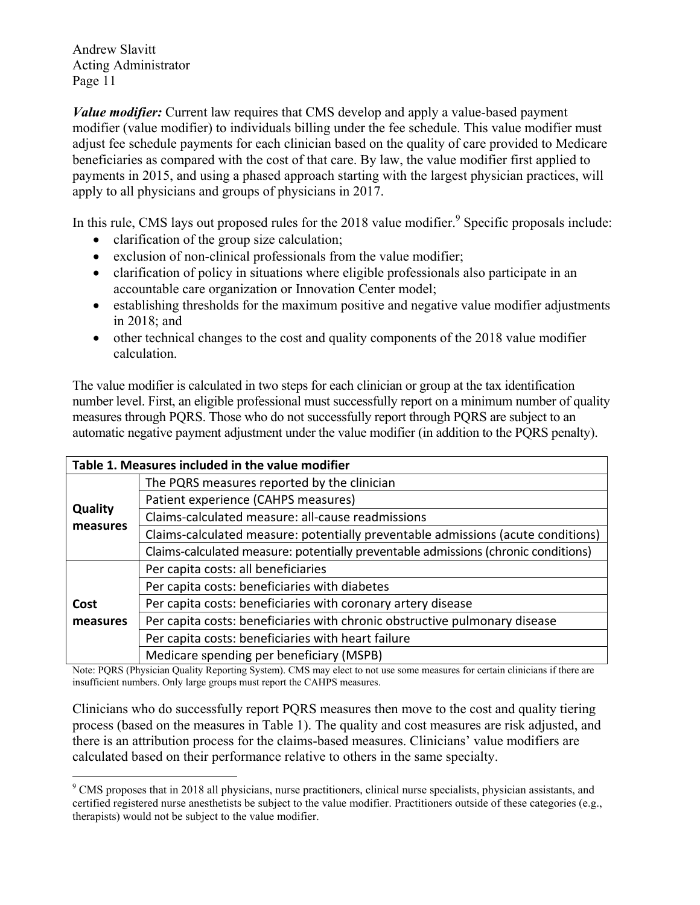1

*Value modifier:* Current law requires that CMS develop and apply a value-based payment modifier (value modifier) to individuals billing under the fee schedule. This value modifier must adjust fee schedule payments for each clinician based on the quality of care provided to Medicare beneficiaries as compared with the cost of that care. By law, the value modifier first applied to payments in 2015, and using a phased approach starting with the largest physician practices, will apply to all physicians and groups of physicians in 2017.

In this rule, CMS lays out proposed rules for the 2018 value modifier.<sup>9</sup> Specific proposals include:

- clarification of the group size calculation;
- exclusion of non-clinical professionals from the value modifier;
- clarification of policy in situations where eligible professionals also participate in an accountable care organization or Innovation Center model;
- establishing thresholds for the maximum positive and negative value modifier adjustments in 2018; and
- other technical changes to the cost and quality components of the 2018 value modifier calculation.

The value modifier is calculated in two steps for each clinician or group at the tax identification number level. First, an eligible professional must successfully report on a minimum number of quality measures through PQRS. Those who do not successfully report through PQRS are subject to an automatic negative payment adjustment under the value modifier (in addition to the PQRS penalty).

| Table 1. Measures included in the value modifier |                                                                                    |  |  |  |
|--------------------------------------------------|------------------------------------------------------------------------------------|--|--|--|
| <b>Quality</b><br>measures                       | The PQRS measures reported by the clinician                                        |  |  |  |
|                                                  | Patient experience (CAHPS measures)                                                |  |  |  |
|                                                  | Claims-calculated measure: all-cause readmissions                                  |  |  |  |
|                                                  | Claims-calculated measure: potentially preventable admissions (acute conditions)   |  |  |  |
|                                                  | Claims-calculated measure: potentially preventable admissions (chronic conditions) |  |  |  |
| Cost<br>measures                                 | Per capita costs: all beneficiaries                                                |  |  |  |
|                                                  | Per capita costs: beneficiaries with diabetes                                      |  |  |  |
|                                                  | Per capita costs: beneficiaries with coronary artery disease                       |  |  |  |
|                                                  | Per capita costs: beneficiaries with chronic obstructive pulmonary disease         |  |  |  |
|                                                  | Per capita costs: beneficiaries with heart failure                                 |  |  |  |
|                                                  | Medicare spending per beneficiary (MSPB)                                           |  |  |  |

Note: PQRS (Physician Quality Reporting System). CMS may elect to not use some measures for certain clinicians if there are insufficient numbers. Only large groups must report the CAHPS measures.

Clinicians who do successfully report PQRS measures then move to the cost and quality tiering process (based on the measures in Table 1). The quality and cost measures are risk adjusted, and there is an attribution process for the claims-based measures. Clinicians' value modifiers are calculated based on their performance relative to others in the same specialty.

<sup>&</sup>lt;sup>9</sup> CMS proposes that in 2018 all physicians, nurse practitioners, clinical nurse specialists, physician assistants, and certified registered nurse anesthetists be subject to the value modifier. Practitioners outside of these categories (e.g., therapists) would not be subject to the value modifier.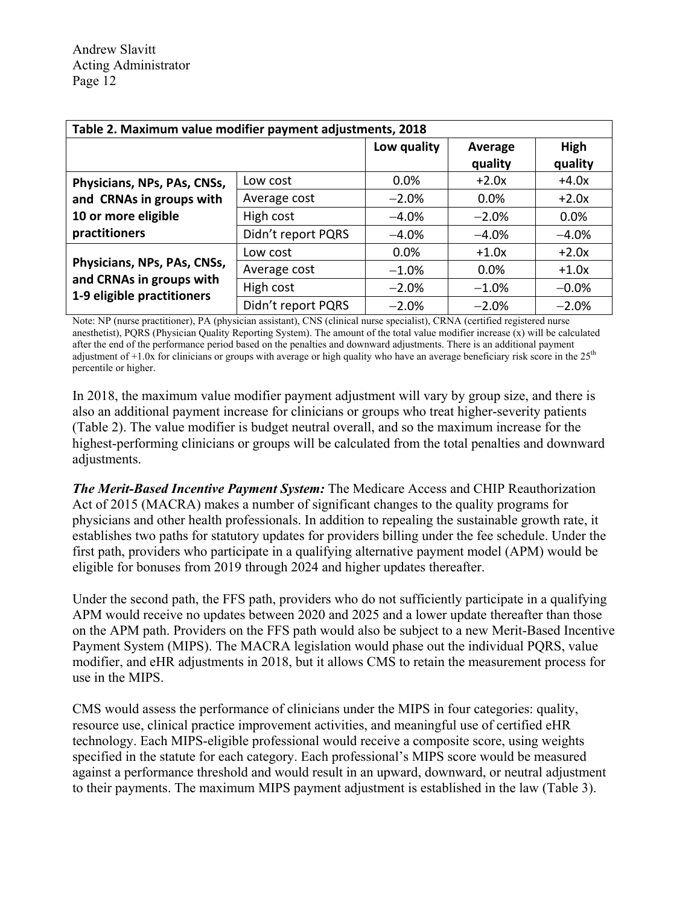| Table 2. Maximum value modifier payment adjustments, 2018 |                    |             |                    |                 |  |  |
|-----------------------------------------------------------|--------------------|-------------|--------------------|-----------------|--|--|
|                                                           |                    | Low quality | Average<br>quality | High<br>quality |  |  |
| Physicians, NPs, PAs, CNSs,                               | Low cost           | $0.0\%$     | $+2.0x$            | $+4.0x$         |  |  |
| and CRNAs in groups with                                  | Average cost       | $-2.0%$     | 0.0%               | $+2.0x$         |  |  |
| 10 or more eligible                                       | High cost          | $-4.0%$     | $-2.0%$            | 0.0%            |  |  |
| practitioners                                             | Didn't report PQRS | $-4.0%$     | $-4.0%$            | $-4.0%$         |  |  |
|                                                           | Low cost           | $0.0\%$     | $+1.0x$            | $+2.0x$         |  |  |
| Physicians, NPs, PAs, CNSs,                               | Average cost       | $-1.0%$     | 0.0%               | $+1.0x$         |  |  |
| and CRNAs in groups with<br>1-9 eligible practitioners    | High cost          | $-2.0%$     | $-1.0%$            | $-0.0%$         |  |  |
|                                                           | Didn't report PQRS | $-2.0%$     | $-2.0%$            | $-2.0%$         |  |  |

Note: NP (nurse practitioner), PA (physician assistant), CNS (clinical nurse specialist), CRNA (certified registered nurse anesthetist), PQRS (Physician Quality Reporting System). The amount of the total value modifier increase  $(x)$  will be calculated after the end of the performance period based on the penalties and downward adjustments. There is an additional payment adjustment of  $+1.0x$  for clinicians or groups with average or high quality who have an average beneficiary risk score in the  $25<sup>th</sup>$ percentile or higher.

In 2018, the maximum value modifier payment adjustment will vary by group size, and there is also an additional payment increase for clinicians or groups who treat higher-severity patients (Table 2). The value modifier is budget neutral overall, and so the maximum increase for the highest-performing clinicians or groups will be calculated from the total penalties and downward adjustments.

*The Merit-Based Incentive Payment System:* The Medicare Access and CHIP Reauthorization Act of 2015 (MACRA) makes a number of significant changes to the quality programs for physicians and other health professionals. In addition to repealing the sustainable growth rate, it establishes two paths for statutory updates for providers billing under the fee schedule. Under the first path, providers who participate in a qualifying alternative payment model (APM) would be eligible for bonuses from 2019 through 2024 and higher updates thereafter.

Under the second path, the FFS path, providers who do not sufficiently participate in a qualifying APM would receive no updates between 2020 and 2025 and a lower update thereafter than those on the APM path. Providers on the FFS path would also be subject to a new Merit-Based Incentive Payment System (MIPS). The MACRA legislation would phase out the individual PQRS, value modifier, and eHR adjustments in 2018, but it allows CMS to retain the measurement process for use in the MIPS.

CMS would assess the performance of clinicians under the MIPS in four categories: quality, resource use, clinical practice improvement activities, and meaningful use of certified eHR technology. Each MIPS-eligible professional would receive a composite score, using weights specified in the statute for each category. Each professional's MIPS score would be measured against a performance threshold and would result in an upward, downward, or neutral adjustment to their payments. The maximum MIPS payment adjustment is established in the law (Table 3).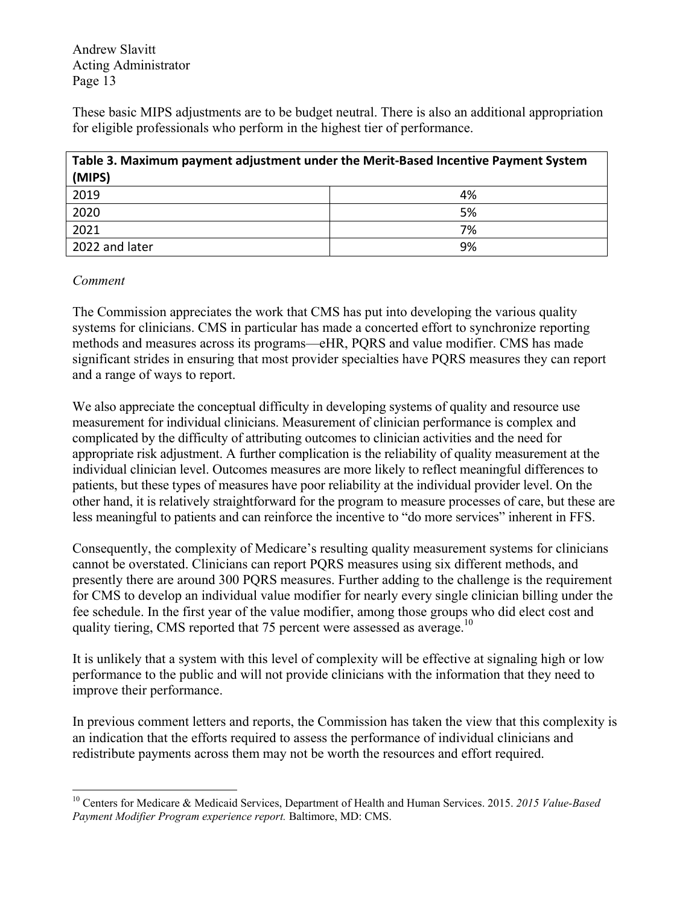These basic MIPS adjustments are to be budget neutral. There is also an additional appropriation for eligible professionals who perform in the highest tier of performance.

| Table 3. Maximum payment adjustment under the Merit-Based Incentive Payment System<br>(MIPS) |    |  |  |  |
|----------------------------------------------------------------------------------------------|----|--|--|--|
| 2019                                                                                         | 4% |  |  |  |
| 2020                                                                                         | 5% |  |  |  |
| 2021                                                                                         | 7% |  |  |  |
| 2022 and later                                                                               | 9% |  |  |  |

#### *Comment*

1

The Commission appreciates the work that CMS has put into developing the various quality systems for clinicians. CMS in particular has made a concerted effort to synchronize reporting methods and measures across its programs—eHR, PQRS and value modifier. CMS has made significant strides in ensuring that most provider specialties have PQRS measures they can report and a range of ways to report.

We also appreciate the conceptual difficulty in developing systems of quality and resource use measurement for individual clinicians. Measurement of clinician performance is complex and complicated by the difficulty of attributing outcomes to clinician activities and the need for appropriate risk adjustment. A further complication is the reliability of quality measurement at the individual clinician level. Outcomes measures are more likely to reflect meaningful differences to patients, but these types of measures have poor reliability at the individual provider level. On the other hand, it is relatively straightforward for the program to measure processes of care, but these are less meaningful to patients and can reinforce the incentive to "do more services" inherent in FFS.

Consequently, the complexity of Medicare's resulting quality measurement systems for clinicians cannot be overstated. Clinicians can report PQRS measures using six different methods, and presently there are around 300 PQRS measures. Further adding to the challenge is the requirement for CMS to develop an individual value modifier for nearly every single clinician billing under the fee schedule. In the first year of the value modifier, among those groups who did elect cost and quality tiering, CMS reported that 75 percent were assessed as average.<sup>10</sup>

It is unlikely that a system with this level of complexity will be effective at signaling high or low performance to the public and will not provide clinicians with the information that they need to improve their performance.

In previous comment letters and reports, the Commission has taken the view that this complexity is an indication that the efforts required to assess the performance of individual clinicians and redistribute payments across them may not be worth the resources and effort required.

<sup>10</sup> Centers for Medicare & Medicaid Services, Department of Health and Human Services. 2015. *2015 Value-Based Payment Modifier Program experience report.* Baltimore, MD: CMS.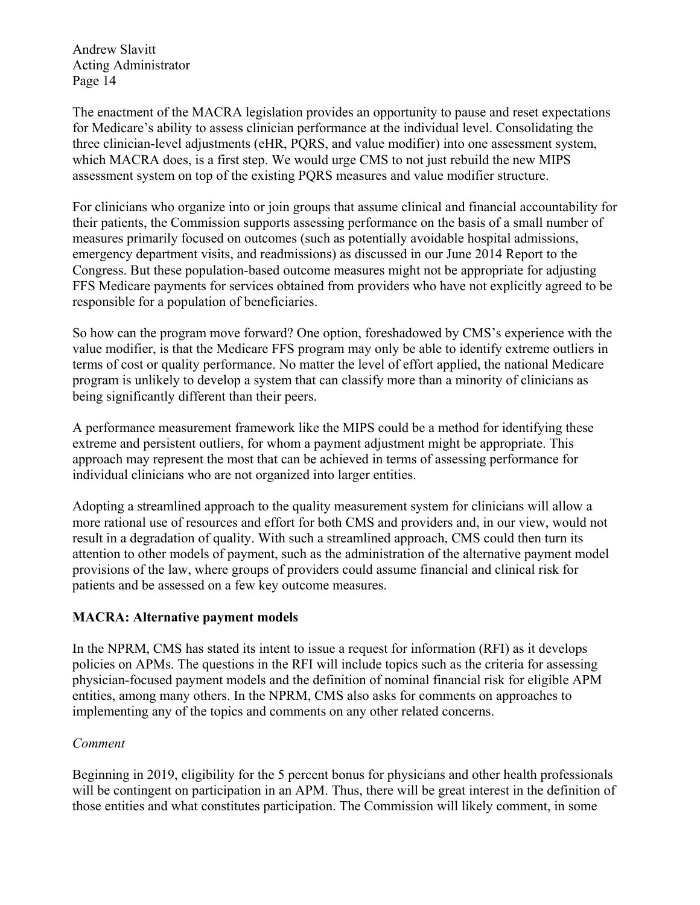The enactment of the MACRA legislation provides an opportunity to pause and reset expectations for Medicare's ability to assess clinician performance at the individual level. Consolidating the three clinician-level adjustments (eHR, PQRS, and value modifier) into one assessment system, which MACRA does, is a first step. We would urge CMS to not just rebuild the new MIPS assessment system on top of the existing PQRS measures and value modifier structure.

For clinicians who organize into or join groups that assume clinical and financial accountability for their patients, the Commission supports assessing performance on the basis of a small number of measures primarily focused on outcomes (such as potentially avoidable hospital admissions, emergency department visits, and readmissions) as discussed in our June 2014 Report to the Congress. But these population-based outcome measures might not be appropriate for adjusting FFS Medicare payments for services obtained from providers who have not explicitly agreed to be responsible for a population of beneficiaries.

So how can the program move forward? One option, foreshadowed by CMS's experience with the value modifier, is that the Medicare FFS program may only be able to identify extreme outliers in terms of cost or quality performance. No matter the level of effort applied, the national Medicare program is unlikely to develop a system that can classify more than a minority of clinicians as being significantly different than their peers.

A performance measurement framework like the MIPS could be a method for identifying these extreme and persistent outliers, for whom a payment adjustment might be appropriate. This approach may represent the most that can be achieved in terms of assessing performance for individual clinicians who are not organized into larger entities.

Adopting a streamlined approach to the quality measurement system for clinicians will allow a more rational use of resources and effort for both CMS and providers and, in our view, would not result in a degradation of quality. With such a streamlined approach, CMS could then turn its attention to other models of payment, such as the administration of the alternative payment model provisions of the law, where groups of providers could assume financial and clinical risk for patients and be assessed on a few key outcome measures.

# **MACRA: Alternative payment models**

In the NPRM, CMS has stated its intent to issue a request for information (RFI) as it develops policies on APMs. The questions in the RFI will include topics such as the criteria for assessing physician-focused payment models and the definition of nominal financial risk for eligible APM entities, among many others. In the NPRM, CMS also asks for comments on approaches to implementing any of the topics and comments on any other related concerns.

# *Comment*

Beginning in 2019, eligibility for the 5 percent bonus for physicians and other health professionals will be contingent on participation in an APM. Thus, there will be great interest in the definition of those entities and what constitutes participation. The Commission will likely comment, in some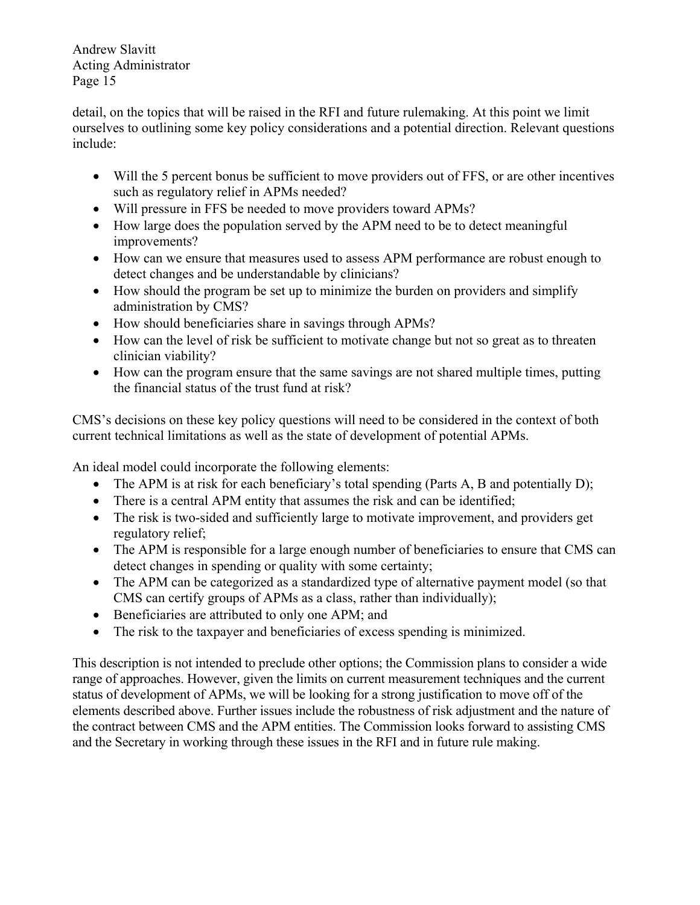detail, on the topics that will be raised in the RFI and future rulemaking. At this point we limit ourselves to outlining some key policy considerations and a potential direction. Relevant questions include:

- Will the 5 percent bonus be sufficient to move providers out of FFS, or are other incentives such as regulatory relief in APMs needed?
- Will pressure in FFS be needed to move providers toward APMs?
- How large does the population served by the APM need to be to detect meaningful improvements?
- How can we ensure that measures used to assess APM performance are robust enough to detect changes and be understandable by clinicians?
- How should the program be set up to minimize the burden on providers and simplify administration by CMS?
- How should beneficiaries share in savings through APMs?
- How can the level of risk be sufficient to motivate change but not so great as to threaten clinician viability?
- How can the program ensure that the same savings are not shared multiple times, putting the financial status of the trust fund at risk?

CMS's decisions on these key policy questions will need to be considered in the context of both current technical limitations as well as the state of development of potential APMs.

An ideal model could incorporate the following elements:

- The APM is at risk for each beneficiary's total spending (Parts A, B and potentially D);
- There is a central APM entity that assumes the risk and can be identified;
- The risk is two-sided and sufficiently large to motivate improvement, and providers get regulatory relief;
- The APM is responsible for a large enough number of beneficiaries to ensure that CMS can detect changes in spending or quality with some certainty;
- The APM can be categorized as a standardized type of alternative payment model (so that CMS can certify groups of APMs as a class, rather than individually);
- Beneficiaries are attributed to only one APM; and
- The risk to the taxpayer and beneficiaries of excess spending is minimized.

This description is not intended to preclude other options; the Commission plans to consider a wide range of approaches. However, given the limits on current measurement techniques and the current status of development of APMs, we will be looking for a strong justification to move off of the elements described above. Further issues include the robustness of risk adjustment and the nature of the contract between CMS and the APM entities. The Commission looks forward to assisting CMS and the Secretary in working through these issues in the RFI and in future rule making.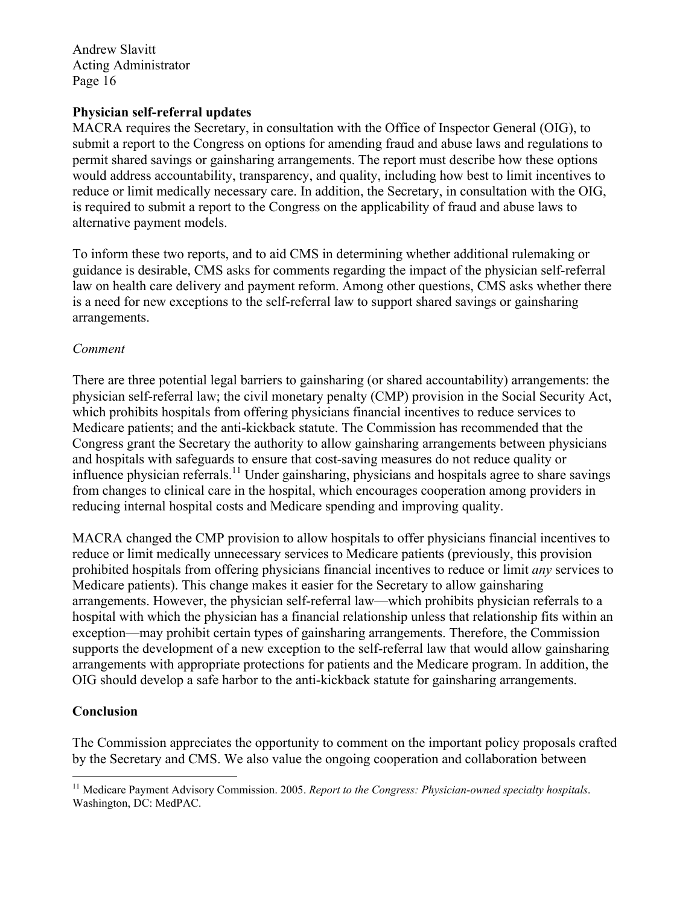#### **Physician self-referral updates**

MACRA requires the Secretary, in consultation with the Office of Inspector General (OIG), to submit a report to the Congress on options for amending fraud and abuse laws and regulations to permit shared savings or gainsharing arrangements. The report must describe how these options would address accountability, transparency, and quality, including how best to limit incentives to reduce or limit medically necessary care. In addition, the Secretary, in consultation with the OIG, is required to submit a report to the Congress on the applicability of fraud and abuse laws to alternative payment models.

To inform these two reports, and to aid CMS in determining whether additional rulemaking or guidance is desirable, CMS asks for comments regarding the impact of the physician self-referral law on health care delivery and payment reform. Among other questions, CMS asks whether there is a need for new exceptions to the self-referral law to support shared savings or gainsharing arrangements.

#### *Comment*

There are three potential legal barriers to gainsharing (or shared accountability) arrangements: the physician self-referral law; the civil monetary penalty (CMP) provision in the Social Security Act, which prohibits hospitals from offering physicians financial incentives to reduce services to Medicare patients; and the anti-kickback statute. The Commission has recommended that the Congress grant the Secretary the authority to allow gainsharing arrangements between physicians and hospitals with safeguards to ensure that cost-saving measures do not reduce quality or influence physician referrals.<sup>11</sup> Under gainsharing, physicians and hospitals agree to share savings from changes to clinical care in the hospital, which encourages cooperation among providers in reducing internal hospital costs and Medicare spending and improving quality.

MACRA changed the CMP provision to allow hospitals to offer physicians financial incentives to reduce or limit medically unnecessary services to Medicare patients (previously, this provision prohibited hospitals from offering physicians financial incentives to reduce or limit *any* services to Medicare patients). This change makes it easier for the Secretary to allow gainsharing arrangements. However, the physician self-referral law—which prohibits physician referrals to a hospital with which the physician has a financial relationship unless that relationship fits within an exception—may prohibit certain types of gainsharing arrangements. Therefore, the Commission supports the development of a new exception to the self-referral law that would allow gainsharing arrangements with appropriate protections for patients and the Medicare program. In addition, the OIG should develop a safe harbor to the anti-kickback statute for gainsharing arrangements.

# **Conclusion**

The Commission appreciates the opportunity to comment on the important policy proposals crafted by the Secretary and CMS. We also value the ongoing cooperation and collaboration between

<sup>1</sup> <sup>11</sup> Medicare Payment Advisory Commission. 2005. *Report to the Congress: Physician-owned specialty hospitals.* Washington, DC: MedPAC.